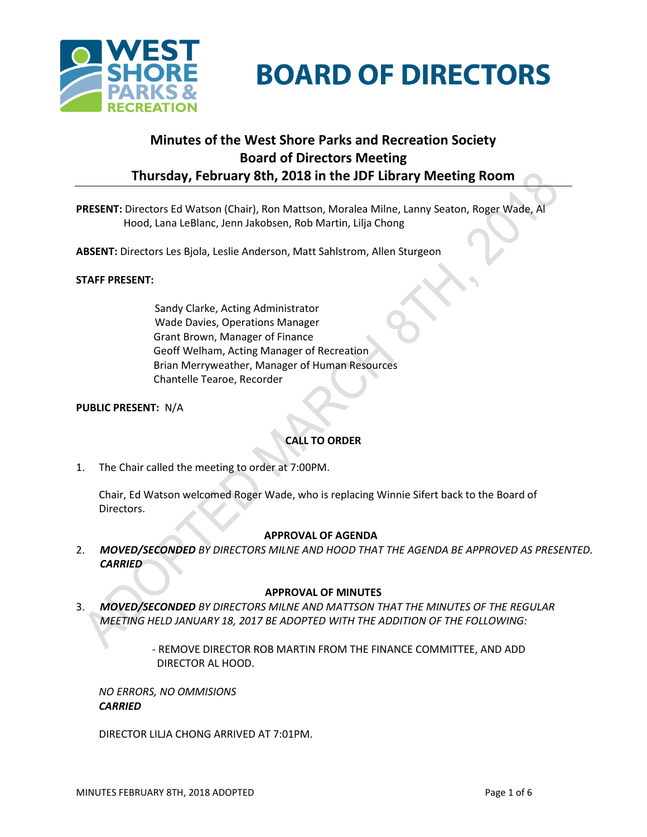

# **BOARD OF DIRECTORS**

## **Minutes of the West Shore Parks and Recreation Society Board of Directors Meeting Thursday, February 8th, 2018 in the JDF Library Meeting Room**

**PRESENT:** Directors Ed Watson (Chair), Ron Mattson, Moralea Milne, Lanny Seaton, Roger Wade, Al Hood, Lana LeBlanc, Jenn Jakobsen, Rob Martin, Lilja Chong

**ABSENT:** Directors Les Bjola, Leslie Anderson, Matt Sahlstrom, Allen Sturgeon

## **STAFF PRESENT:**

Sandy Clarke, Acting Administrator Wade Davies, Operations Manager Grant Brown, Manager of Finance Geoff Welham, Acting Manager of Recreation Brian Merryweather, Manager of Human Resources Chantelle Tearoe, Recorder

## **PUBLIC PRESENT:** N/A

## **CALL TO ORDER**

1. The Chair called the meeting to order at 7:00PM.

Chair, Ed Watson welcomed Roger Wade, who is replacing Winnie Sifert back to the Board of Directors.

#### **APPROVAL OF AGENDA**

2. *MOVED/SECONDED BY DIRECTORS MILNE AND HOOD THAT THE AGENDA BE APPROVED AS PRESENTED. CARRIED*

## **APPROVAL OF MINUTES**

3. *MOVED/SECONDED BY DIRECTORS MILNE AND MATTSON THAT THE MINUTES OF THE REGULAR MEETING HELD JANUARY 18, 2017 BE ADOPTED WITH THE ADDITION OF THE FOLLOWING:*

> - REMOVE DIRECTOR ROB MARTIN FROM THE FINANCE COMMITTEE, AND ADD DIRECTOR AL HOOD.

*NO ERRORS, NO OMMISIONS CARRIED*

DIRECTOR LILJA CHONG ARRIVED AT 7:01PM.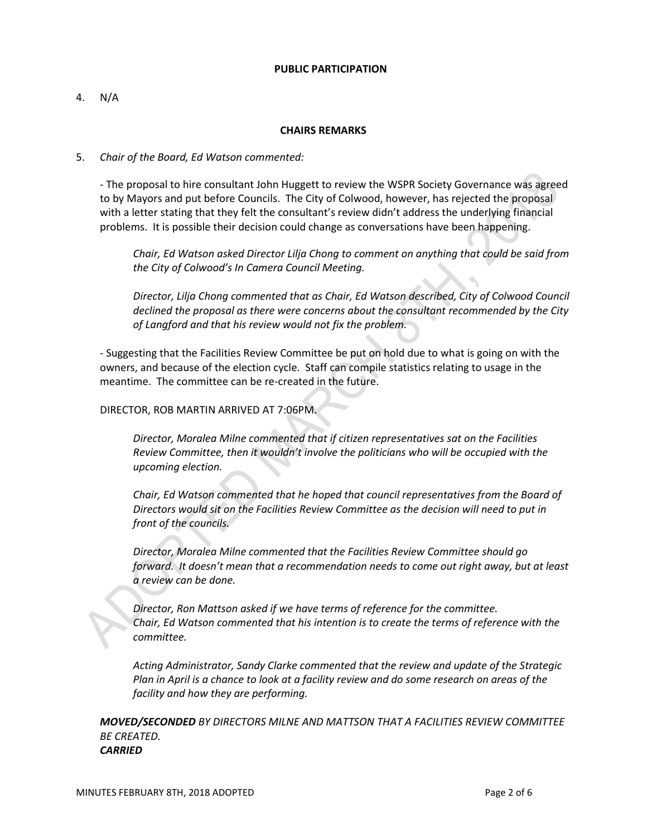#### **PUBLIC PARTICIPATION**

## 4. N/A

## **CHAIRS REMARKS**

## 5. *Chair of the Board, Ed Watson commented:*

*-* The proposal to hire consultant John Huggett to review the WSPR Society Governance was agreed to by Mayors and put before Councils. The City of Colwood, however, has rejected the proposal with a letter stating that they felt the consultant's review didn't address the underlying financial problems. It is possible their decision could change as conversations have been happening.

*Chair, Ed Watson asked Director Lilja Chong to comment on anything that could be said from the City of Colwood's In Camera Council Meeting.*

*Director, Lilja Chong commented that as Chair, Ed Watson described, City of Colwood Council declined the proposal as there were concerns about the consultant recommended by the City of Langford and that his review would not fix the problem.* 

- Suggesting that the Facilities Review Committee be put on hold due to what is going on with the owners, and because of the election cycle. Staff can compile statistics relating to usage in the meantime. The committee can be re-created in the future.

## DIRECTOR, ROB MARTIN ARRIVED AT 7:06PM.

*Director, Moralea Milne commented that if citizen representatives sat on the Facilities Review Committee, then it wouldn't involve the politicians who will be occupied with the upcoming election.*

*Chair, Ed Watson commented that he hoped that council representatives from the Board of Directors would sit on the Facilities Review Committee as the decision will need to put in front of the councils.*

*Director, Moralea Milne commented that the Facilities Review Committee should go forward. It doesn't mean that a recommendation needs to come out right away, but at least a review can be done.*

*Director, Ron Mattson asked if we have terms of reference for the committee. Chair, Ed Watson commented that his intention is to create the terms of reference with the committee.*

*Acting Administrator, Sandy Clarke commented that the review and update of the Strategic Plan in April is a chance to look at a facility review and do some research on areas of the facility and how they are performing.*

*MOVED/SECONDED BY DIRECTORS MILNE AND MATTSON THAT A FACILITIES REVIEW COMMITTEE BE CREATED. CARRIED*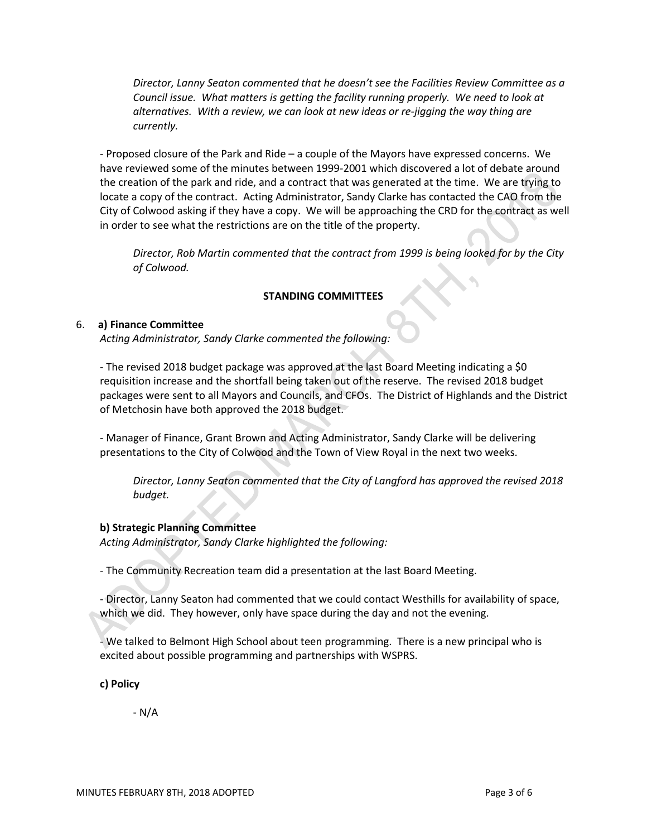*Director, Lanny Seaton commented that he doesn't see the Facilities Review Committee as a Council issue. What matters is getting the facility running properly. We need to look at alternatives. With a review, we can look at new ideas or re-jigging the way thing are currently.*

- Proposed closure of the Park and Ride – a couple of the Mayors have expressed concerns. We have reviewed some of the minutes between 1999-2001 which discovered a lot of debate around the creation of the park and ride, and a contract that was generated at the time. We are trying to locate a copy of the contract. Acting Administrator, Sandy Clarke has contacted the CAO from the City of Colwood asking if they have a copy. We will be approaching the CRD for the contract as well in order to see what the restrictions are on the title of the property.

*Director, Rob Martin commented that the contract from 1999 is being looked for by the City of Colwood.*

## **STANDING COMMITTEES**

## 6. **a) Finance Committee**

*Acting Administrator, Sandy Clarke commented the following:*

- The revised 2018 budget package was approved at the last Board Meeting indicating a \$0 requisition increase and the shortfall being taken out of the reserve. The revised 2018 budget packages were sent to all Mayors and Councils, and CFOs. The District of Highlands and the District of Metchosin have both approved the 2018 budget.

- Manager of Finance, Grant Brown and Acting Administrator, Sandy Clarke will be delivering presentations to the City of Colwood and the Town of View Royal in the next two weeks.

*Director, Lanny Seaton commented that the City of Langford has approved the revised 2018 budget.*

## **b) Strategic Planning Committee**

*Acting Administrator, Sandy Clarke highlighted the following:*

- The Community Recreation team did a presentation at the last Board Meeting.

- Director, Lanny Seaton had commented that we could contact Westhills for availability of space, which we did. They however, only have space during the day and not the evening.

- We talked to Belmont High School about teen programming. There is a new principal who is excited about possible programming and partnerships with WSPRS.

**c) Policy**

- N/A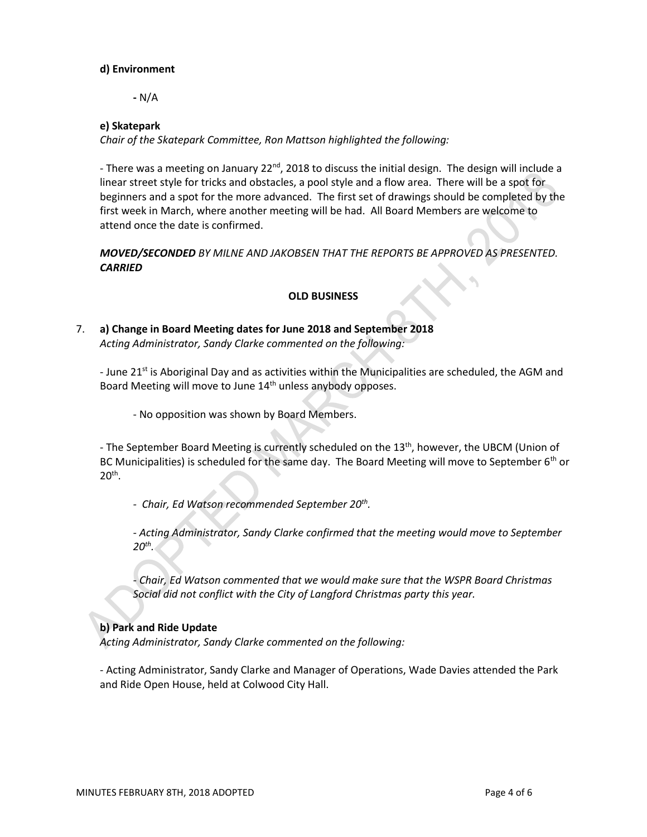## **d) Environment**

**-** N/A

## **e) Skatepark**

*Chair of the Skatepark Committee, Ron Mattson highlighted the following:*

- There was a meeting on January 22<sup>nd</sup>, 2018 to discuss the initial design. The design will include a linear street style for tricks and obstacles, a pool style and a flow area. There will be a spot for beginners and a spot for the more advanced. The first set of drawings should be completed by the first week in March, where another meeting will be had. All Board Members are welcome to attend once the date is confirmed.

## *MOVED/SECONDED BY MILNE AND JAKOBSEN THAT THE REPORTS BE APPROVED AS PRESENTED. CARRIED*

## **OLD BUSINESS**

## 7. **a) Change in Board Meeting dates for June 2018 and September 2018** *Acting Administrator, Sandy Clarke commented on the following:*

- June 21<sup>st</sup> is Aboriginal Day and as activities within the Municipalities are scheduled, the AGM and Board Meeting will move to June 14<sup>th</sup> unless anybody opposes.

- No opposition was shown by Board Members.

- The September Board Meeting is currently scheduled on the 13<sup>th</sup>, however, the UBCM (Union of BC Municipalities) is scheduled for the same day. The Board Meeting will move to September 6<sup>th</sup> or  $20<sup>th</sup>$ .

*- Chair, Ed Watson recommended September 20th .*

*- Acting Administrator, Sandy Clarke confirmed that the meeting would move to September 20th .*

*- Chair, Ed Watson commented that we would make sure that the WSPR Board Christmas Social did not conflict with the City of Langford Christmas party this year.*

## **b) Park and Ride Update**

*Acting Administrator, Sandy Clarke commented on the following:*

- Acting Administrator, Sandy Clarke and Manager of Operations, Wade Davies attended the Park and Ride Open House, held at Colwood City Hall.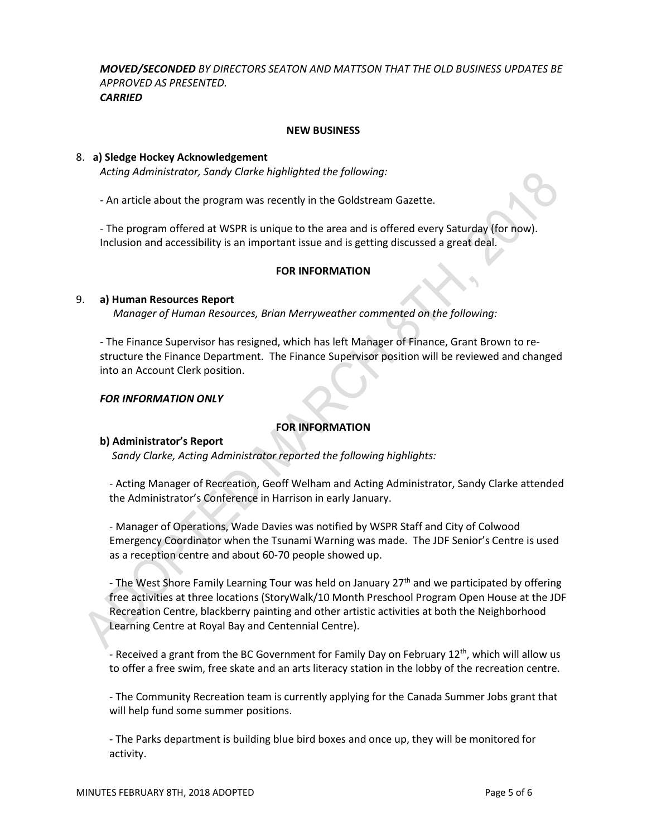*MOVED/SECONDED BY DIRECTORS SEATON AND MATTSON THAT THE OLD BUSINESS UPDATES BE APPROVED AS PRESENTED. CARRIED*

#### **NEW BUSINESS**

#### 8. **a) Sledge Hockey Acknowledgement**

*Acting Administrator, Sandy Clarke highlighted the following:*

- An article about the program was recently in the Goldstream Gazette.

- The program offered at WSPR is unique to the area and is offered every Saturday (for now). Inclusion and accessibility is an important issue and is getting discussed a great deal.

#### **FOR INFORMATION**

#### 9. **a) Human Resources Report**

*Manager of Human Resources, Brian Merryweather commented on the following:*

- The Finance Supervisor has resigned, which has left Manager of Finance, Grant Brown to restructure the Finance Department. The Finance Supervisor position will be reviewed and changed into an Account Clerk position.

#### *FOR INFORMATION ONLY*

## **FOR INFORMATION**

#### **b) Administrator's Report**

 *Sandy Clarke, Acting Administrator reported the following highlights:* 

- Acting Manager of Recreation, Geoff Welham and Acting Administrator, Sandy Clarke attended the Administrator's Conference in Harrison in early January.

- Manager of Operations, Wade Davies was notified by WSPR Staff and City of Colwood Emergency Coordinator when the Tsunami Warning was made. The JDF Senior's Centre is used as a reception centre and about 60-70 people showed up.

- The West Shore Family Learning Tour was held on January 27<sup>th</sup> and we participated by offering free activities at three locations (StoryWalk/10 Month Preschool Program Open House at the JDF Recreation Centre, blackberry painting and other artistic activities at both the Neighborhood Learning Centre at Royal Bay and Centennial Centre).

- Received a grant from the BC Government for Family Day on February  $12<sup>th</sup>$ , which will allow us to offer a free swim, free skate and an arts literacy station in the lobby of the recreation centre.

- The Community Recreation team is currently applying for the Canada Summer Jobs grant that will help fund some summer positions.

- The Parks department is building blue bird boxes and once up, they will be monitored for activity.